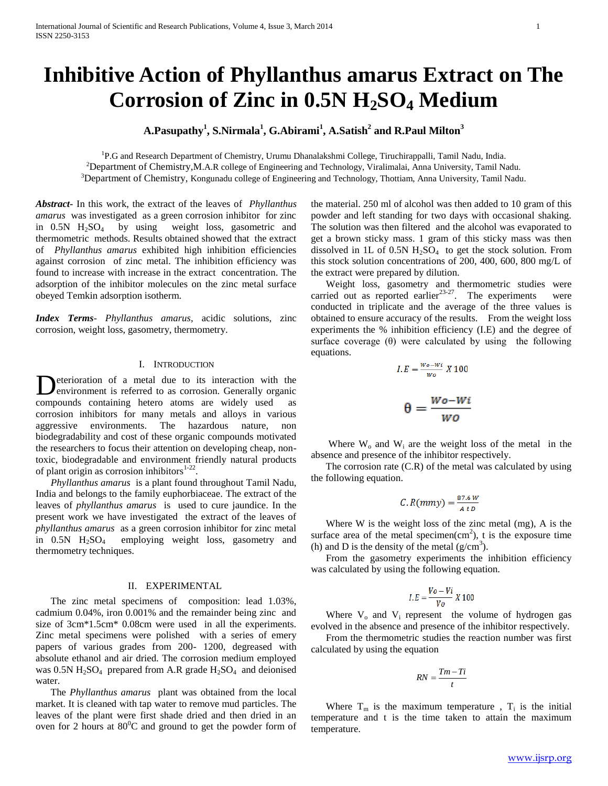# **Inhibitive Action of Phyllanthus amarus Extract on The Corrosion of Zinc in 0.5N H2SO<sup>4</sup> Medium**

**A.Pasupathy<sup>1</sup> , S.Nirmala<sup>1</sup> , G.Abirami<sup>1</sup> , A.Satish<sup>2</sup> and R.Paul Milton<sup>3</sup>**

<sup>1</sup>P.G and Research Department of Chemistry, Urumu Dhanalakshmi College, Tiruchirappalli, Tamil Nadu, India. <sup>2</sup>Department of Chemistry,M.A.R college of Engineering and Technology, Viralimalai, Anna University, Tamil Nadu. <sup>3</sup>Department of Chemistry, Kongunadu college of Engineering and Technology, Thottiam, Anna University, Tamil Nadu.

*Abstract***-** In this work, the extract of the leaves of *Phyllanthus amarus* was investigated as a green corrosion inhibitor for zinc in  $0.5N$  H<sub>2</sub>SO<sub>4</sub> by using weight loss, gasometric and thermometric methods. Results obtained showed that the extract of *Phyllanthus amarus* exhibited high inhibition efficiencies against corrosion of zinc metal. The inhibition efficiency was found to increase with increase in the extract concentration. The adsorption of the inhibitor molecules on the zinc metal surface obeyed Temkin adsorption isotherm.

*Index Terms*- *Phyllanthus amarus*, acidic solutions, zinc corrosion, weight loss, gasometry, thermometry.

# I. INTRODUCTION

eterioration of a metal due to its interaction with the environment is referred to as corrosion. Generally organic compounds containing hetero atoms are widely used as corrosion inhibitors for many metals and alloys in various aggressive environments. The hazardous nature, non biodegradability and cost of these organic compounds motivated the researchers to focus their attention on developing cheap, nontoxic, biodegradable and environment friendly natural products of plant origin as corrosion inhibitors $1-22$ . D

 *Phyllanthus amarus* is a plant found throughout Tamil Nadu, India and belongs to the family euphorbiaceae. The extract of the leaves of *phyllanthus amarus* is used to cure jaundice. In the present work we have investigated the extract of the leaves of *phyllanthus amarus* as a green corrosion inhibitor for zinc metal in  $0.5N$  H<sub>2</sub>SO<sub>4</sub> employing weight loss, gasometry and thermometry techniques.

## II. EXPERIMENTAL

 The zinc metal specimens of composition: lead 1.03%, cadmium 0.04%, iron 0.001% and the remainder being zinc and size of 3cm\*1.5cm\* 0.08cm were used in all the experiments. Zinc metal specimens were polished with a series of emery papers of various grades from 200- 1200, degreased with absolute ethanol and air dried. The corrosion medium employed was  $0.5N H_2SO_4$  prepared from A.R grade  $H_2SO_4$  and deionised water.

 The *Phyllanthus amarus* plant was obtained from the local market. It is cleaned with tap water to remove mud particles. The leaves of the plant were first shade dried and then dried in an oven for 2 hours at  $80^{\circ}$ C and ground to get the powder form of the material. 250 ml of alcohol was then added to 10 gram of this powder and left standing for two days with occasional shaking. The solution was then filtered and the alcohol was evaporated to get a brown sticky mass. 1 gram of this sticky mass was then dissolved in 1L of 0.5N  $H_2SO_4$  to get the stock solution. From this stock solution concentrations of 200, 400, 600, 800 mg/L of the extract were prepared by dilution.

 Weight loss, gasometry and thermometric studies were carried out as reported earlier<sup>23-27</sup>. The experiments were conducted in triplicate and the average of the three values is obtained to ensure accuracy of the results. From the weight loss experiments the % inhibition efficiency (I.E) and the degree of surface coverage  $(\theta)$  were calculated by using the following equations.

$$
l.E = \frac{w_o - w_i}{w_o} X 100
$$

$$
\theta = \frac{Wo - Wi}{WO}
$$

Where  $W_0$  and  $W_i$  are the weight loss of the metal in the absence and presence of the inhibitor respectively.

 The corrosion rate (C.R) of the metal was calculated by using the following equation.

$$
C. R(mmy) = \frac{87.6 W}{A t D}
$$

 Where W is the weight loss of the zinc metal (mg), A is the surface area of the metal specimen $(cm<sup>2</sup>)$ , t is the exposure time (h) and D is the density of the metal  $(g/cm<sup>3</sup>)$ .

 From the gasometry experiments the inhibition efficiency was calculated by using the following equation.

$$
I.E = \frac{V_o - Vi}{V_o} X 100
$$

Where  $V_0$  and  $V_i$  represent the volume of hydrogen gas evolved in the absence and presence of the inhibitor respectively.

 From the thermometric studies the reaction number was first calculated by using the equation

$$
RN = \frac{Tm - Ti}{t}
$$

Where  $T_m$  is the maximum temperature,  $T_i$  is the initial temperature and t is the time taken to attain the maximum temperature.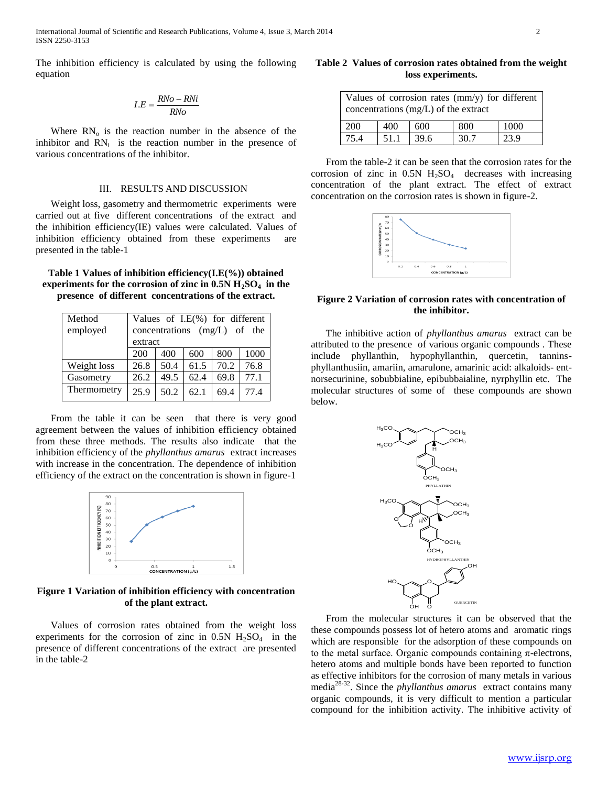The inhibition efficiency is calculated by using the following equation

$$
I.E = \frac{RNo - RNi}{RNo}
$$

Where  $RN_{o}$  is the reaction number in the absence of the inhibitor and  $RN<sub>i</sub>$  is the reaction number in the presence of various concentrations of the inhibitor.

### III. RESULTS AND DISCUSSION

 Weight loss, gasometry and thermometric experiments were carried out at five different concentrations of the extract and the inhibition efficiency(IE) values were calculated. Values of inhibition efficiency obtained from these experiments are presented in the table-1

**Table 1 Values of inhibition efficiency(I.E(%)) obtained experiments for the corrosion of zinc in 0.5N H2SO4 in the presence of different concentrations of the extract.**

| Method      | Values of I.E(%) for different |      |      |      |      |  |
|-------------|--------------------------------|------|------|------|------|--|
| employed    | concentrations $(mg/L)$ of the |      |      |      |      |  |
|             | extract                        |      |      |      |      |  |
|             | 200                            | 400  | 600  | 800  | 1000 |  |
| Weight loss | 26.8                           | 50.4 | 61.5 | 70.2 | 76.8 |  |
| Gasometry   | 26.2                           | 49.5 | 62.4 | 69.8 | 77.1 |  |
| Thermometry | 25.9                           | 50.2 | 62.1 | 69.4 | 77.4 |  |

 From the table it can be seen that there is very good agreement between the values of inhibition efficiency obtained from these three methods. The results also indicate that the inhibition efficiency of the *phyllanthus amarus* extract increases with increase in the concentration. The dependence of inhibition efficiency of the extract on the concentration is shown in figure-1



**Figure 1 Variation of inhibition efficiency with concentration of the plant extract.**

 Values of corrosion rates obtained from the weight loss experiments for the corrosion of zinc in  $0.5N$  H<sub>2</sub>SO<sub>4</sub> in the presence of different concentrations of the extract are presented in the table-2

# **Table 2 Values of corrosion rates obtained from the weight loss experiments.**

| Values of corrosion rates $\text{(mm/y)}$ for different<br>concentrations $(mg/L)$ of the extract |      |      |      |      |  |  |  |
|---------------------------------------------------------------------------------------------------|------|------|------|------|--|--|--|
| <b>200</b>                                                                                        | 400  | 600  | 800  | 1000 |  |  |  |
| 75.4                                                                                              | 51.1 | 39.6 | 30.7 | 23.9 |  |  |  |

 From the table-2 it can be seen that the corrosion rates for the corrosion of zinc in  $0.5N$  H<sub>2</sub>SO<sub>4</sub> decreases with increasing concentration of the plant extract. The effect of extract concentration on the corrosion rates is shown in figure-2.



# **Figure 2 Variation of corrosion rates with concentration of the inhibitor.**

 The inhibitive action of *phyllanthus amarus* extract can be attributed to the presence of various organic compounds . These include phyllanthin, hypophyllanthin, quercetin, tanninsphyllanthusiin, amariin, amarulone, amarinic acid: alkaloids- entnorsecurinine, sobubbialine, epibubbaialine, nyrphyllin etc. The molecular structures of some of these compounds are shown below.



 From the molecular structures it can be observed that the these compounds possess lot of hetero atoms and aromatic rings which are responsible for the adsorption of these compounds on to the metal surface. Organic compounds containing  $\pi$ -electrons, hetero atoms and multiple bonds have been reported to function as effective inhibitors for the corrosion of many metals in various media28-32. Since the *phyllanthus amarus* extract contains many organic compounds, it is very difficult to mention a particular compound for the inhibition activity. The inhibitive activity of